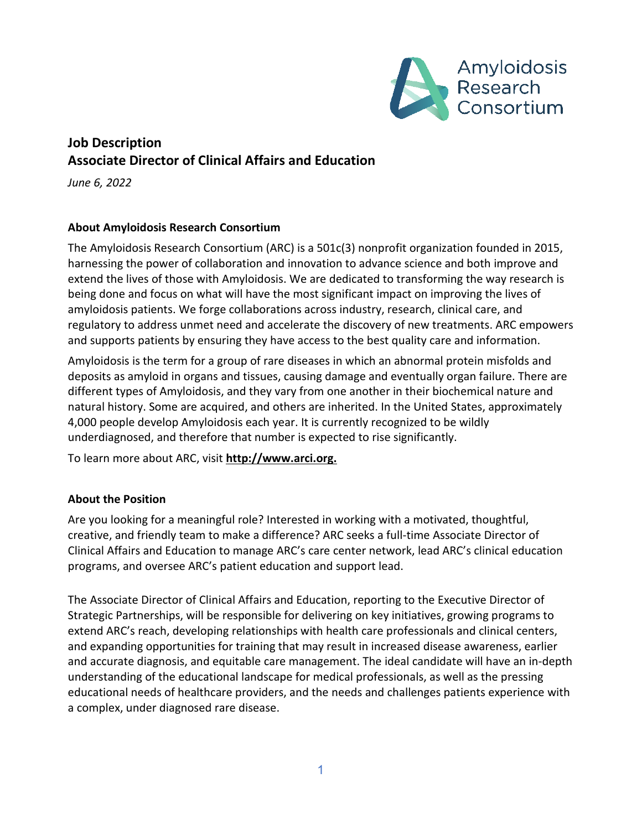

# **Job Description Associate Director of Clinical Affairs and Education**

*June 6, 2022*

# **About Amyloidosis Research Consortium**

The Amyloidosis Research Consortium (ARC) is a 501c(3) nonprofit organization founded in 2015, harnessing the power of collaboration and innovation to advance science and both improve and extend the lives of those with Amyloidosis. We are dedicated to transforming the way research is being done and focus on what will have the most significant impact on improving the lives of amyloidosis patients. We forge collaborations across industry, research, clinical care, and regulatory to address unmet need and accelerate the discovery of new treatments. ARC empowers and supports patients by ensuring they have access to the best quality care and information.

Amyloidosis is the term for a group of rare diseases in which an abnormal protein misfolds and deposits as amyloid in organs and tissues, causing damage and eventually organ failure. There are different types of Amyloidosis, and they vary from one another in their biochemical nature and natural history. Some are acquired, and others are inherited. In the United States, approximately 4,000 people develop Amyloidosis each year. It is currently recognized to be wildly underdiagnosed, and therefore that number is expected to rise significantly.

To learn more about ARC, visit **[http://www.arci.org.](http://www.arci.org/)**

#### **About the Position**

Are you looking for a meaningful role? Interested in working with a motivated, thoughtful, creative, and friendly team to make a difference? ARC seeks a full-time Associate Director of Clinical Affairs and Education to manage ARC's care center network, lead ARC's clinical education programs, and oversee ARC's patient education and support lead.

The Associate Director of Clinical Affairs and Education, reporting to the Executive Director of Strategic Partnerships, will be responsible for delivering on key initiatives, growing programs to extend ARC's reach, developing relationships with health care professionals and clinical centers, and expanding opportunities for training that may result in increased disease awareness, earlier and accurate diagnosis, and equitable care management. The ideal candidate will have an in-depth understanding of the educational landscape for medical professionals, as well as the pressing educational needs of healthcare providers, and the needs and challenges patients experience with a complex, under diagnosed rare disease.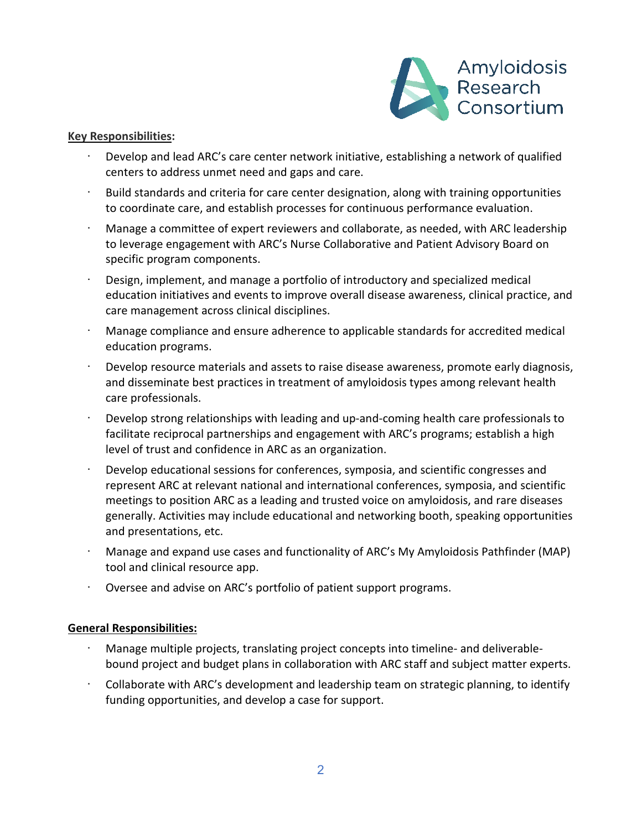

#### **Key Responsibilities:**

- Develop and lead ARC's care center network initiative, establishing a network of qualified centers to address unmet need and gaps and care.
- · Build standards and criteria for care center designation, along with training opportunities to coordinate care, and establish processes for continuous performance evaluation.
- · Manage a committee of expert reviewers and collaborate, as needed, with ARC leadership to leverage engagement with ARC's Nurse Collaborative and Patient Advisory Board on specific program components.
- · Design, implement, and manage a portfolio of introductory and specialized medical education initiatives and events to improve overall disease awareness, clinical practice, and care management across clinical disciplines.
- · Manage compliance and ensure adherence to applicable standards for accredited medical education programs.
- · Develop resource materials and assets to raise disease awareness, promote early diagnosis, and disseminate best practices in treatment of amyloidosis types among relevant health care professionals.
- · Develop strong relationships with leading and up-and-coming health care professionals to facilitate reciprocal partnerships and engagement with ARC's programs; establish a high level of trust and confidence in ARC as an organization.
- Develop educational sessions for conferences, symposia, and scientific congresses and represent ARC at relevant national and international conferences, symposia, and scientific meetings to position ARC as a leading and trusted voice on amyloidosis, and rare diseases generally. Activities may include educational and networking booth, speaking opportunities and presentations, etc.
- · Manage and expand use cases and functionality of ARC's My Amyloidosis Pathfinder (MAP) tool and clinical resource app.
- · Oversee and advise on ARC's portfolio of patient support programs.

#### **General Responsibilities:**

- · Manage multiple projects, translating project concepts into timeline- and deliverablebound project and budget plans in collaboration with ARC staff and subject matter experts.
- · Collaborate with ARC's development and leadership team on strategic planning, to identify funding opportunities, and develop a case for support.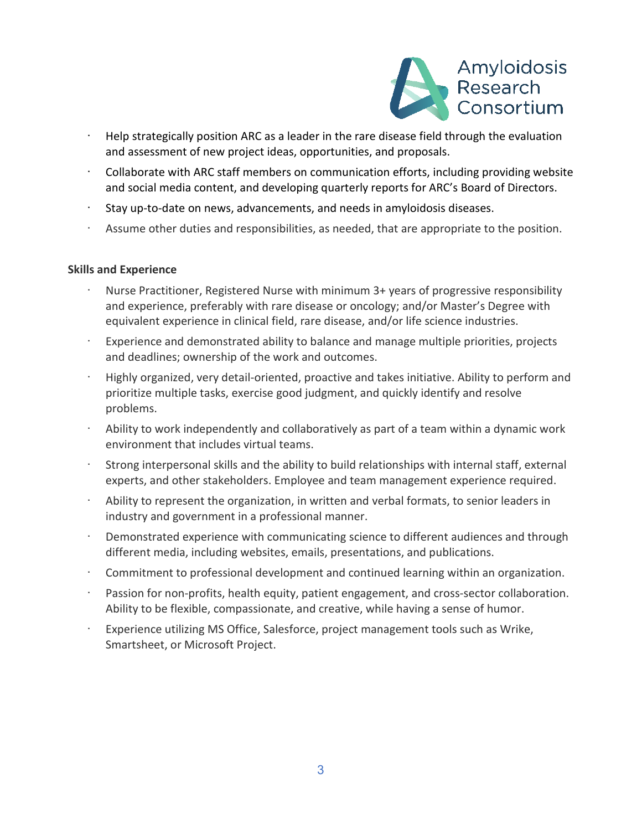

- · Help strategically position ARC as a leader in the rare disease field through the evaluation and assessment of new project ideas, opportunities, and proposals.
- · Collaborate with ARC staff members on communication efforts, including providing website and social media content, and developing quarterly reports for ARC's Board of Directors.
- Stay up-to-date on news, advancements, and needs in amyloidosis diseases.
- · Assume other duties and responsibilities, as needed, that are appropriate to the position.

#### **Skills and Experience**

- · Nurse Practitioner, Registered Nurse with minimum 3+ years of progressive responsibility and experience, preferably with rare disease or oncology; and/or Master's Degree with equivalent experience in clinical field, rare disease, and/or life science industries.
- Experience and demonstrated ability to balance and manage multiple priorities, projects and deadlines; ownership of the work and outcomes.
- · Highly organized, very detail-oriented, proactive and takes initiative. Ability to perform and prioritize multiple tasks, exercise good judgment, and quickly identify and resolve problems.
- · Ability to work independently and collaboratively as part of a team within a dynamic work environment that includes virtual teams.
- · Strong interpersonal skills and the ability to build relationships with internal staff, external experts, and other stakeholders. Employee and team management experience required.
- · Ability to represent the organization, in written and verbal formats, to senior leaders in industry and government in a professional manner.
- Demonstrated experience with communicating science to different audiences and through different media, including websites, emails, presentations, and publications.
- Commitment to professional development and continued learning within an organization.
- Passion for non-profits, health equity, patient engagement, and cross-sector collaboration. Ability to be flexible, compassionate, and creative, while having a sense of humor.
- Experience utilizing MS Office, Salesforce, project management tools such as Wrike, Smartsheet, or Microsoft Project.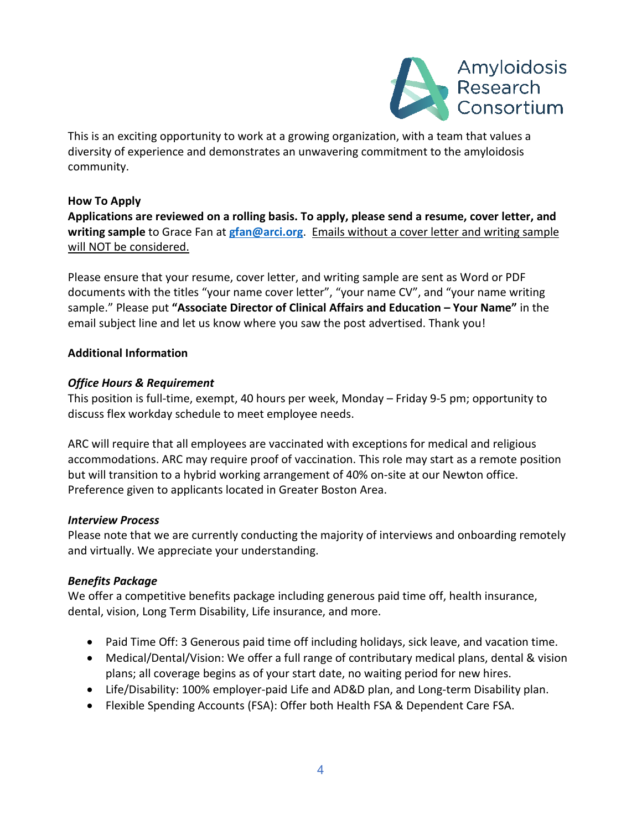

This is an exciting opportunity to work at a growing organization, with a team that values a diversity of experience and demonstrates an unwavering commitment to the amyloidosis community.

# **How To Apply**

**Applications are reviewed on a rolling basis. To apply, please send a resume, cover letter, and writing sample** to Grace Fan at **[gfan@arci.org](mailto:gfan@arci.org)**. Emails without a cover letter and writing sample will NOT be considered.

Please ensure that your resume, cover letter, and writing sample are sent as Word or PDF documents with the titles "your name cover letter", "your name CV", and "your name writing sample." Please put **"Associate Director of Clinical Affairs and Education – Your Name"** in the email subject line and let us know where you saw the post advertised. Thank you!

# **Additional Information**

### *Office Hours & Requirement*

This position is full-time, exempt, 40 hours per week, Monday – Friday 9-5 pm; opportunity to discuss flex workday schedule to meet employee needs.

ARC will require that all employees are vaccinated with exceptions for medical and religious accommodations. ARC may require proof of vaccination. This role may start as a remote position but will transition to a hybrid working arrangement of 40% on-site at our Newton office. Preference given to applicants located in Greater Boston Area.

# *Interview Process*

Please note that we are currently conducting the majority of interviews and onboarding remotely and virtually. We appreciate your understanding.

# *Benefits Package*

We offer a competitive benefits package including generous paid time off, health insurance, dental, vision, Long Term Disability, Life insurance, and more.

- Paid Time Off: 3 Generous paid time off including holidays, sick leave, and vacation time.
- Medical/Dental/Vision: We offer a full range of contributary medical plans, dental & vision plans; all coverage begins as of your start date, no waiting period for new hires.
- Life/Disability: 100% employer-paid Life and AD&D plan, and Long-term Disability plan.
- Flexible Spending Accounts (FSA): Offer both Health FSA & Dependent Care FSA.